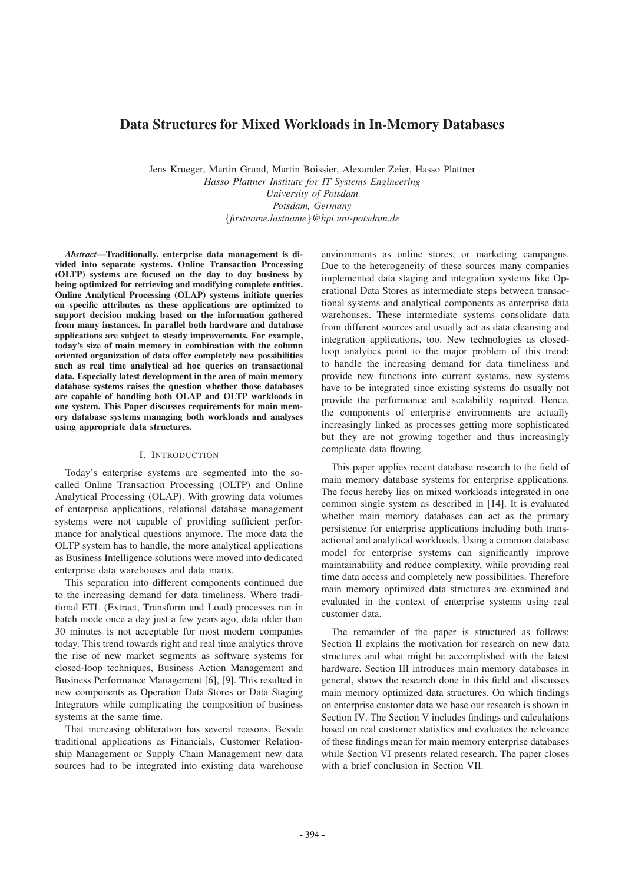# Data Structures for Mixed Workloads in In-Memory Databases

Jens Krueger, Martin Grund, Martin Boissier, Alexander Zeier, Hasso Plattner *Hasso Plattner Institute for IT Systems Engineering University of Potsdam Potsdam, Germany {firstname.lastname}@hpi.uni-potsdam.de*

*Abstract*—Traditionally, enterprise data management is divided into separate systems. Online Transaction Processing (OLTP) systems are focused on the day to day business by being optimized for retrieving and modifying complete entities. Online Analytical Processing (OLAP) systems initiate queries on specific attributes as these applications are optimized to support decision making based on the information gathered from many instances. In parallel both hardware and database applications are subject to steady improvements. For example, today's size of main memory in combination with the column oriented organization of data offer completely new possibilities such as real time analytical ad hoc queries on transactional data. Especially latest development in the area of main memory database systems raises the question whether those databases are capable of handling both OLAP and OLTP workloads in one system. This Paper discusses requirements for main memory database systems managing both workloads and analyses using appropriate data structures.

#### I. INTRODUCTION

Today's enterprise systems are segmented into the socalled Online Transaction Processing (OLTP) and Online Analytical Processing (OLAP). With growing data volumes of enterprise applications, relational database management systems were not capable of providing sufficient performance for analytical questions anymore. The more data the OLTP system has to handle, the more analytical applications as Business Intelligence solutions were moved into dedicated enterprise data warehouses and data marts.

This separation into different components continued due to the increasing demand for data timeliness. Where traditional ETL (Extract, Transform and Load) processes ran in batch mode once a day just a few years ago, data older than 30 minutes is not acceptable for most modern companies today. This trend towards right and real time analytics throve the rise of new market segments as software systems for closed-loop techniques, Business Action Management and Business Performance Management [6], [9]. This resulted in new components as Operation Data Stores or Data Staging Integrators while complicating the composition of business systems at the same time.

That increasing obliteration has several reasons. Beside traditional applications as Financials, Customer Relationship Management or Supply Chain Management new data sources had to be integrated into existing data warehouse

environments as online stores, or marketing campaigns. Due to the heterogeneity of these sources many companies implemented data staging and integration systems like Operational Data Stores as intermediate steps between transactional systems and analytical components as enterprise data warehouses. These intermediate systems consolidate data from different sources and usually act as data cleansing and integration applications, too. New technologies as closedloop analytics point to the major problem of this trend: to handle the increasing demand for data timeliness and provide new functions into current systems, new systems have to be integrated since existing systems do usually not provide the performance and scalability required. Hence, the components of enterprise environments are actually increasingly linked as processes getting more sophisticated but they are not growing together and thus increasingly complicate data flowing.

This paper applies recent database research to the field of main memory database systems for enterprise applications. The focus hereby lies on mixed workloads integrated in one common single system as described in [14]. It is evaluated whether main memory databases can act as the primary persistence for enterprise applications including both transactional and analytical workloads. Using a common database model for enterprise systems can significantly improve maintainability and reduce complexity, while providing real time data access and completely new possibilities. Therefore main memory optimized data structures are examined and evaluated in the context of enterprise systems using real customer data.

The remainder of the paper is structured as follows: Section II explains the motivation for research on new data structures and what might be accomplished with the latest hardware. Section III introduces main memory databases in general, shows the research done in this field and discusses main memory optimized data structures. On which findings on enterprise customer data we base our research is shown in Section IV. The Section V includes findings and calculations based on real customer statistics and evaluates the relevance of these findings mean for main memory enterprise databases while Section VI presents related research. The paper closes with a brief conclusion in Section VII.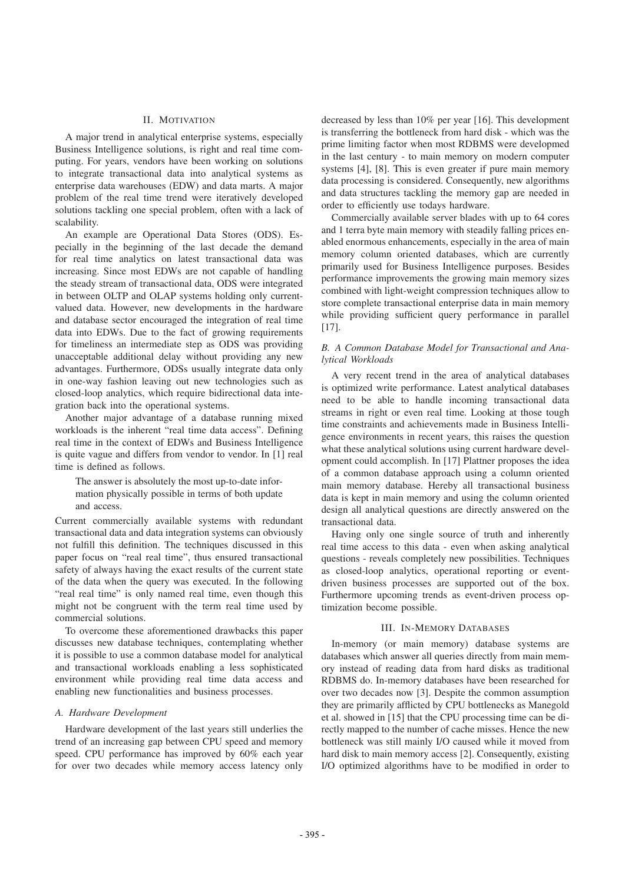### II. MOTIVATION

A major trend in analytical enterprise systems, especially Business Intelligence solutions, is right and real time computing. For years, vendors have been working on solutions to integrate transactional data into analytical systems as enterprise data warehouses (EDW) and data marts. A major problem of the real time trend were iteratively developed solutions tackling one special problem, often with a lack of scalability.

An example are Operational Data Stores (ODS). Especially in the beginning of the last decade the demand for real time analytics on latest transactional data was increasing. Since most EDWs are not capable of handling the steady stream of transactional data, ODS were integrated in between OLTP and OLAP systems holding only currentvalued data. However, new developments in the hardware and database sector encouraged the integration of real time data into EDWs. Due to the fact of growing requirements for timeliness an intermediate step as ODS was providing unacceptable additional delay without providing any new advantages. Furthermore, ODSs usually integrate data only in one-way fashion leaving out new technologies such as closed-loop analytics, which require bidirectional data integration back into the operational systems.

Another major advantage of a database running mixed workloads is the inherent "real time data access". Defining real time in the context of EDWs and Business Intelligence is quite vague and differs from vendor to vendor. In [1] real time is defined as follows.

The answer is absolutely the most up-to-date information physically possible in terms of both update and access.

Current commercially available systems with redundant transactional data and data integration systems can obviously not fulfill this definition. The techniques discussed in this paper focus on "real real time", thus ensured transactional safety of always having the exact results of the current state of the data when the query was executed. In the following "real real time" is only named real time, even though this might not be congruent with the term real time used by commercial solutions.

To overcome these aforementioned drawbacks this paper discusses new database techniques, contemplating whether it is possible to use a common database model for analytical and transactional workloads enabling a less sophisticated environment while providing real time data access and enabling new functionalities and business processes.

#### *A. Hardware Development*

Hardware development of the last years still underlies the trend of an increasing gap between CPU speed and memory speed. CPU performance has improved by 60% each year for over two decades while memory access latency only

decreased by less than 10% per year [16]. This development is transferring the bottleneck from hard disk - which was the prime limiting factor when most RDBMS were developmed in the last century - to main memory on modern computer systems [4], [8]. This is even greater if pure main memory data processing is considered. Consequently, new algorithms and data structures tackling the memory gap are needed in order to efficiently use todays hardware.

Commercially available server blades with up to 64 cores and 1 terra byte main memory with steadily falling prices enabled enormous enhancements, especially in the area of main memory column oriented databases, which are currently primarily used for Business Intelligence purposes. Besides performance improvements the growing main memory sizes combined with light-weight compression techniques allow to store complete transactional enterprise data in main memory while providing sufficient query performance in parallel [17].

## *B. A Common Database Model for Transactional and Analytical Workloads*

A very recent trend in the area of analytical databases is optimized write performance. Latest analytical databases need to be able to handle incoming transactional data streams in right or even real time. Looking at those tough time constraints and achievements made in Business Intelligence environments in recent years, this raises the question what these analytical solutions using current hardware development could accomplish. In [17] Plattner proposes the idea of a common database approach using a column oriented main memory database. Hereby all transactional business data is kept in main memory and using the column oriented design all analytical questions are directly answered on the transactional data.

Having only one single source of truth and inherently real time access to this data - even when asking analytical questions - reveals completely new possibilities. Techniques as closed-loop analytics, operational reporting or eventdriven business processes are supported out of the box. Furthermore upcoming trends as event-driven process optimization become possible.

## III. IN-MEMORY DATABASES

In-memory (or main memory) database systems are databases which answer all queries directly from main memory instead of reading data from hard disks as traditional RDBMS do. In-memory databases have been researched for over two decades now [3]. Despite the common assumption they are primarily afflicted by CPU bottlenecks as Manegold et al. showed in [15] that the CPU processing time can be directly mapped to the number of cache misses. Hence the new bottleneck was still mainly I/O caused while it moved from hard disk to main memory access [2]. Consequently, existing I/O optimized algorithms have to be modified in order to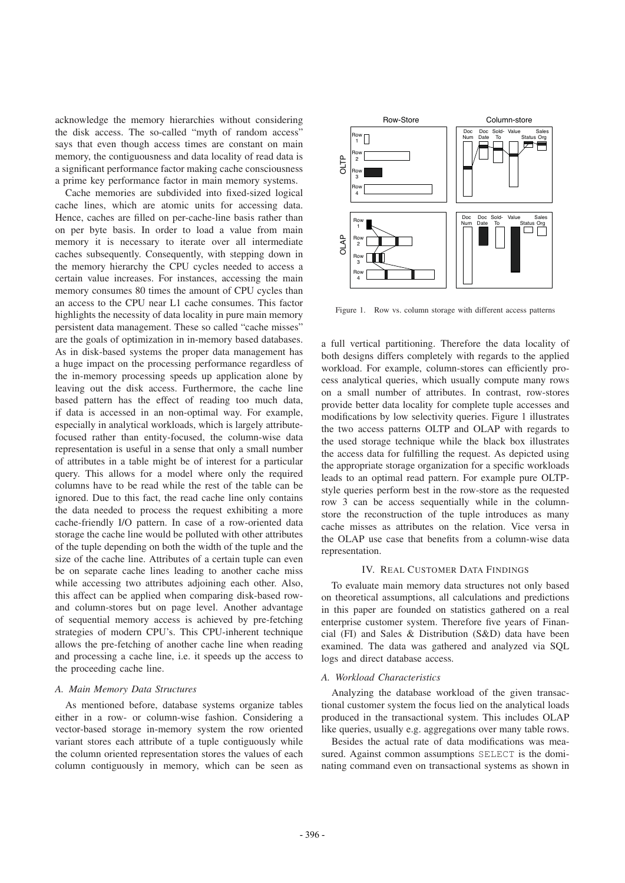acknowledge the memory hierarchies without considering the disk access. The so-called "myth of random access" says that even though access times are constant on main memory, the contiguousness and data locality of read data is a significant performance factor making cache consciousness a prime key performance factor in main memory systems.

Cache memories are subdivided into fixed-sized logical cache lines, which are atomic units for accessing data. Hence, caches are filled on per-cache-line basis rather than on per byte basis. In order to load a value from main memory it is necessary to iterate over all intermediate caches subsequently. Consequently, with stepping down in the memory hierarchy the CPU cycles needed to access a certain value increases. For instances, accessing the main memory consumes 80 times the amount of CPU cycles than an access to the CPU near L1 cache consumes. This factor highlights the necessity of data locality in pure main memory persistent data management. These so called "cache misses" are the goals of optimization in in-memory based databases. As in disk-based systems the proper data management has a huge impact on the processing performance regardless of the in-memory processing speeds up application alone by leaving out the disk access. Furthermore, the cache line based pattern has the effect of reading too much data, if data is accessed in an non-optimal way. For example, especially in analytical workloads, which is largely attributefocused rather than entity-focused, the column-wise data representation is useful in a sense that only a small number of attributes in a table might be of interest for a particular query. This allows for a model where only the required columns have to be read while the rest of the table can be ignored. Due to this fact, the read cache line only contains the data needed to process the request exhibiting a more cache-friendly I/O pattern. In case of a row-oriented data storage the cache line would be polluted with other attributes of the tuple depending on both the width of the tuple and the size of the cache line. Attributes of a certain tuple can even be on separate cache lines leading to another cache miss while accessing two attributes adjoining each other. Also, this affect can be applied when comparing disk-based rowand column-stores but on page level. Another advantage of sequential memory access is achieved by pre-fetching strategies of modern CPU's. This CPU-inherent technique allows the pre-fetching of another cache line when reading and processing a cache line, i.e. it speeds up the access to the proceeding cache line.

#### *A. Main Memory Data Structures*

As mentioned before, database systems organize tables either in a row- or column-wise fashion. Considering a vector-based storage in-memory system the row oriented variant stores each attribute of a tuple contiguously while the column oriented representation stores the values of each column contiguously in memory, which can be seen as



Figure 1. Row vs. column storage with different access patterns

a full vertical partitioning. Therefore the data locality of both designs differs completely with regards to the applied workload. For example, column-stores can efficiently process analytical queries, which usually compute many rows on a small number of attributes. In contrast, row-stores provide better data locality for complete tuple accesses and modifications by low selectivity queries. Figure 1 illustrates the two access patterns OLTP and OLAP with regards to the used storage technique while the black box illustrates the access data for fulfilling the request. As depicted using the appropriate storage organization for a specific workloads leads to an optimal read pattern. For example pure OLTPstyle queries perform best in the row-store as the requested row 3 can be access sequentially while in the columnstore the reconstruction of the tuple introduces as many cache misses as attributes on the relation. Vice versa in the OLAP use case that benefits from a column-wise data representation.

## IV. REAL CUSTOMER DATA FINDINGS

To evaluate main memory data structures not only based on theoretical assumptions, all calculations and predictions in this paper are founded on statistics gathered on a real enterprise customer system. Therefore five years of Financial (FI) and Sales & Distribution (S&D) data have been examined. The data was gathered and analyzed via SQL logs and direct database access.

#### *A. Workload Characteristics*

Analyzing the database workload of the given transactional customer system the focus lied on the analytical loads produced in the transactional system. This includes OLAP like queries, usually e.g. aggregations over many table rows.

Besides the actual rate of data modifications was measured. Against common assumptions SELECT is the dominating command even on transactional systems as shown in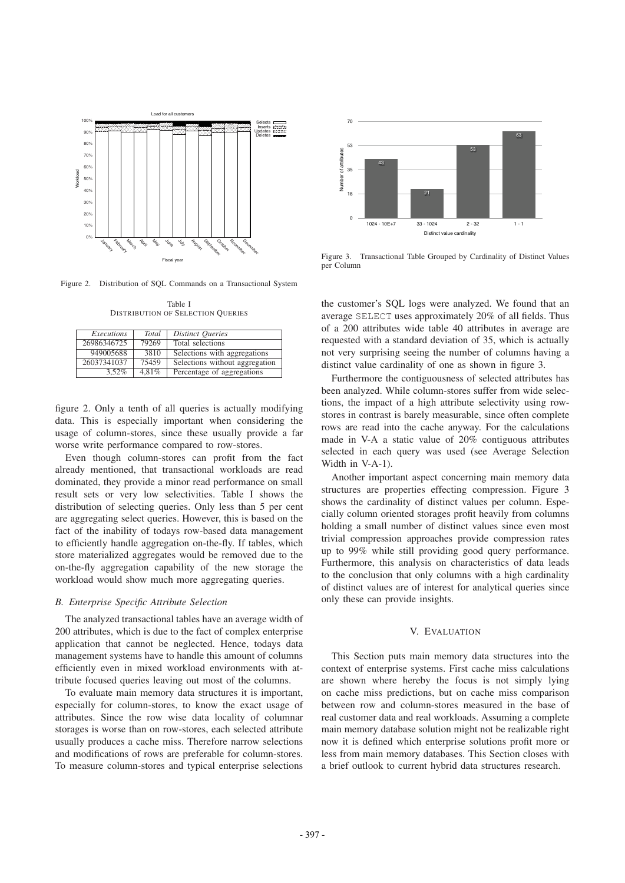

Figure 2. Distribution of SQL Commands on a Transactional System

Table I DISTRIBUTION OF SELECTION QUERIES

| Executions  | <b>Total</b> | <b>Distinct Queries</b>        |
|-------------|--------------|--------------------------------|
| 26986346725 | 79269        | Total selections               |
| 949005688   | 3810         | Selections with aggregations   |
| 26037341037 | 75459        | Selections without aggregation |
| $3.52\%$    | 4.81%        | Percentage of aggregations     |

figure 2. Only a tenth of all queries is actually modifying data. This is especially important when considering the usage of column-stores, since these usually provide a far worse write performance compared to row-stores.

Even though column-stores can profit from the fact already mentioned, that transactional workloads are read dominated, they provide a minor read performance on small result sets or very low selectivities. Table I shows the distribution of selecting queries. Only less than 5 per cent are aggregating select queries. However, this is based on the fact of the inability of todays row-based data management to efficiently handle aggregation on-the-fly. If tables, which store materialized aggregates would be removed due to the on-the-fly aggregation capability of the new storage the workload would show much more aggregating queries.

## *B. Enterprise Specific Attribute Selection*

The analyzed transactional tables have an average width of 200 attributes, which is due to the fact of complex enterprise application that cannot be neglected. Hence, todays data management systems have to handle this amount of columns efficiently even in mixed workload environments with attribute focused queries leaving out most of the columns.

To evaluate main memory data structures it is important, especially for column-stores, to know the exact usage of attributes. Since the row wise data locality of columnar storages is worse than on row-stores, each selected attribute usually produces a cache miss. Therefore narrow selections and modifications of rows are preferable for column-stores. To measure column-stores and typical enterprise selections



Figure 3. Transactional Table Grouped by Cardinality of Distinct Values per Column

the customer's SQL logs were analyzed. We found that an average SELECT uses approximately 20% of all fields. Thus of a 200 attributes wide table 40 attributes in average are requested with a standard deviation of 35, which is actually not very surprising seeing the number of columns having a distinct value cardinality of one as shown in figure 3.

Furthermore the contiguousness of selected attributes has been analyzed. While column-stores suffer from wide selections, the impact of a high attribute selectivity using rowstores in contrast is barely measurable, since often complete rows are read into the cache anyway. For the calculations made in V-A a static value of 20% contiguous attributes selected in each query was used (see Average Selection Width in V-A-1).

Another important aspect concerning main memory data structures are properties effecting compression. Figure 3 shows the cardinality of distinct values per column. Especially column oriented storages profit heavily from columns holding a small number of distinct values since even most trivial compression approaches provide compression rates up to 99% while still providing good query performance. Furthermore, this analysis on characteristics of data leads to the conclusion that only columns with a high cardinality of distinct values are of interest for analytical queries since only these can provide insights.

## V. EVALUATION

This Section puts main memory data structures into the context of enterprise systems. First cache miss calculations are shown where hereby the focus is not simply lying on cache miss predictions, but on cache miss comparison between row and column-stores measured in the base of real customer data and real workloads. Assuming a complete main memory database solution might not be realizable right now it is defined which enterprise solutions profit more or less from main memory databases. This Section closes with a brief outlook to current hybrid data structures research.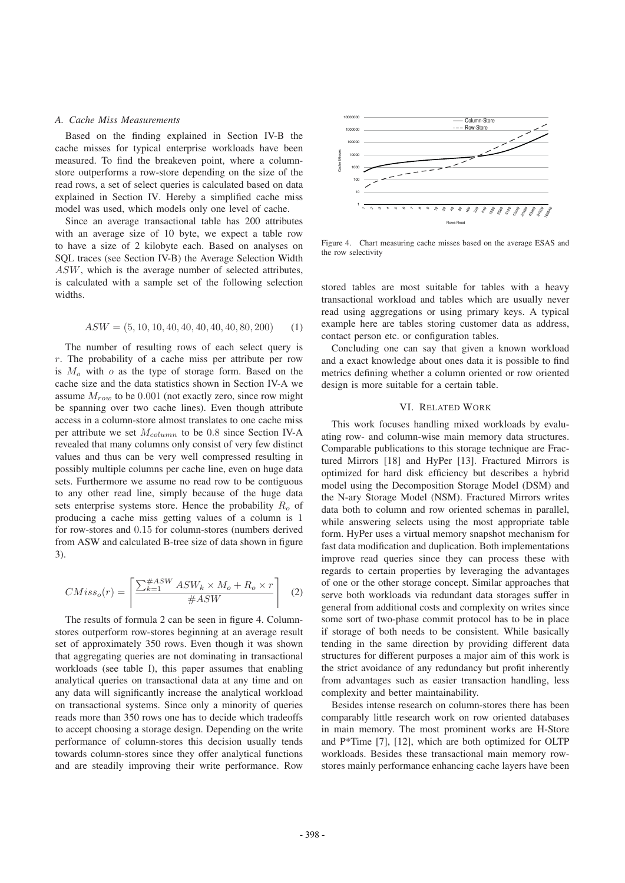#### *A. Cache Miss Measurements*

Based on the finding explained in Section IV-B the cache misses for typical enterprise workloads have been measured. To find the breakeven point, where a columnstore outperforms a row-store depending on the size of the read rows, a set of select queries is calculated based on data explained in Section IV. Hereby a simplified cache miss model was used, which models only one level of cache.

Since an average transactional table has 200 attributes with an average size of 10 byte, we expect a table row to have a size of 2 kilobyte each. Based on analyses on SQL traces (see Section IV-B) the Average Selection Width *ASW*, which is the average number of selected attributes, is calculated with a sample set of the following selection widths.

$$
ASW = (5, 10, 10, 40, 40, 40, 40, 40, 80, 200) \tag{1}
$$

The number of resulting rows of each select query is *r*. The probability of a cache miss per attribute per row is *M<sup>o</sup>* with *o* as the type of storage form. Based on the cache size and the data statistics shown in Section IV-A we assume *Mrow* to be 0*.*001 (not exactly zero, since row might be spanning over two cache lines). Even though attribute access in a column-store almost translates to one cache miss per attribute we set *Mcolumn* to be 0*.*8 since Section IV-A revealed that many columns only consist of very few distinct values and thus can be very well compressed resulting in possibly multiple columns per cache line, even on huge data sets. Furthermore we assume no read row to be contiguous to any other read line, simply because of the huge data sets enterprise systems store. Hence the probability *R<sup>o</sup>* of producing a cache miss getting values of a column is 1 for row-stores and 0*.*15 for column-stores (numbers derived from ASW and calculated B-tree size of data shown in figure 3).

$$
CMiss_o(r) = \left\lceil \frac{\sum_{k=1}^{\#ASW} ASW_k \times M_o + R_o \times r}{\#ASW} \right\rceil \quad (2)
$$

The results of formula 2 can be seen in figure 4. Columnstores outperform row-stores beginning at an average result set of approximately 350 rows. Even though it was shown that aggregating queries are not dominating in transactional workloads (see table I), this paper assumes that enabling analytical queries on transactional data at any time and on any data will significantly increase the analytical workload on transactional systems. Since only a minority of queries reads more than 350 rows one has to decide which tradeoffs to accept choosing a storage design. Depending on the write performance of column-stores this decision usually tends towards column-stores since they offer analytical functions and are steadily improving their write performance. Row



Figure 4. Chart measuring cache misses based on the average ESAS and the row selectivity

stored tables are most suitable for tables with a heavy transactional workload and tables which are usually never read using aggregations or using primary keys. A typical example here are tables storing customer data as address, contact person etc. or configuration tables.

Concluding one can say that given a known workload and a exact knowledge about ones data it is possible to find metrics defining whether a column oriented or row oriented design is more suitable for a certain table.

## VI. RELATED WORK

This work focuses handling mixed workloads by evaluating row- and column-wise main memory data structures. Comparable publications to this storage technique are Fractured Mirrors [18] and HyPer [13]. Fractured Mirrors is optimized for hard disk efficiency but describes a hybrid model using the Decomposition Storage Model (DSM) and the N-ary Storage Model (NSM). Fractured Mirrors writes data both to column and row oriented schemas in parallel, while answering selects using the most appropriate table form. HyPer uses a virtual memory snapshot mechanism for fast data modification and duplication. Both implementations improve read queries since they can process these with regards to certain properties by leveraging the advantages of one or the other storage concept. Similar approaches that serve both workloads via redundant data storages suffer in general from additional costs and complexity on writes since some sort of two-phase commit protocol has to be in place if storage of both needs to be consistent. While basically tending in the same direction by providing different data structures for different purposes a major aim of this work is the strict avoidance of any redundancy but profit inherently from advantages such as easier transaction handling, less complexity and better maintainability.

Besides intense research on column-stores there has been comparably little research work on row oriented databases in main memory. The most prominent works are H-Store and P\*Time [7], [12], which are both optimized for OLTP workloads. Besides these transactional main memory rowstores mainly performance enhancing cache layers have been